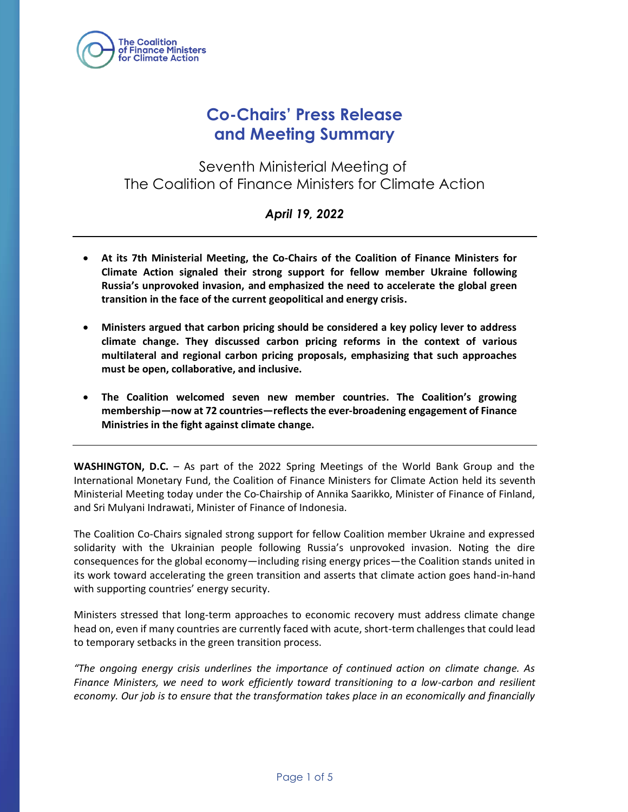

# **Co-Chairs' Press Release and Meeting Summary**

Seventh Ministerial Meeting of The Coalition of Finance Ministers for Climate Action

### *April 19, 2022*

- **At its 7th Ministerial Meeting, the Co-Chairs of the Coalition of Finance Ministers for Climate Action signaled their strong support for fellow member Ukraine following Russia's unprovoked invasion, and emphasized the need to accelerate the global green transition in the face of the current geopolitical and energy crisis.**
- **Ministers argued that carbon pricing should be considered a key policy lever to address climate change. They discussed carbon pricing reforms in the context of various multilateral and regional carbon pricing proposals, emphasizing that such approaches must be open, collaborative, and inclusive.**
- **The Coalition welcomed seven new member countries. The Coalition's growing membership—now at 72 countries—reflects the ever-broadening engagement of Finance Ministries in the fight against climate change.**

**WASHINGTON, D.C.** – As part of the 2022 Spring Meetings of the World Bank Group and the International Monetary Fund, the Coalition of Finance Ministers for Climate Action held its seventh Ministerial Meeting today under the Co-Chairship of Annika Saarikko, Minister of Finance of Finland, and Sri Mulyani Indrawati, Minister of Finance of Indonesia.

The Coalition Co-Chairs signaled strong support for fellow Coalition member Ukraine and expressed solidarity with the Ukrainian people following Russia's unprovoked invasion. Noting the dire consequences for the global economy—including rising energy prices—the Coalition stands united in its work toward accelerating the green transition and asserts that climate action goes hand-in-hand with supporting countries' energy security.

Ministers stressed that long-term approaches to economic recovery must address climate change head on, even if many countries are currently faced with acute, short-term challenges that could lead to temporary setbacks in the green transition process.

*"The ongoing energy crisis underlines the importance of continued action on climate change. As Finance Ministers, we need to work efficiently toward transitioning to a low-carbon and resilient economy. Our job is to ensure that the transformation takes place in an economically and financially*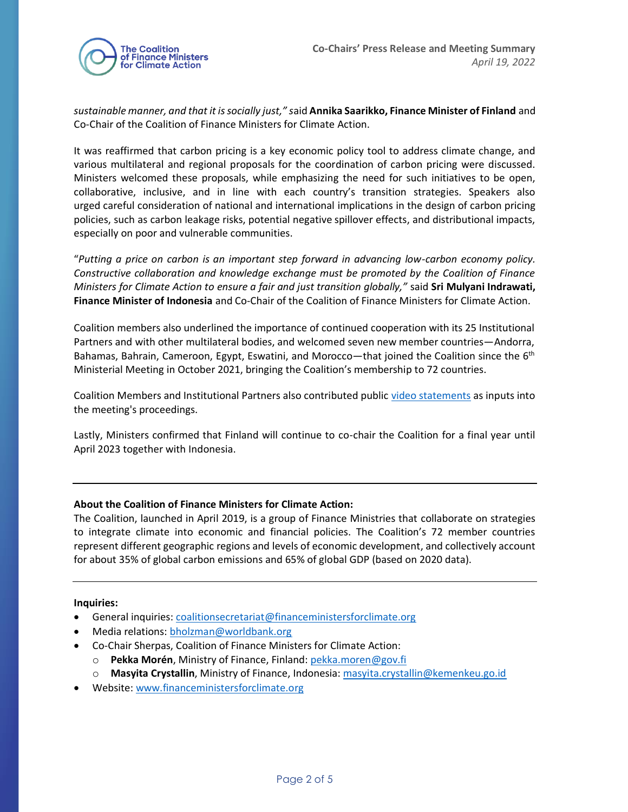

*sustainable manner, and that it is socially just," s*aid **Annika Saarikko, Finance Minister of Finland** and Co-Chair of the Coalition of Finance Ministers for Climate Action.

It was reaffirmed that carbon pricing is a key economic policy tool to address climate change, and various multilateral and regional proposals for the coordination of carbon pricing were discussed. Ministers welcomed these proposals, while emphasizing the need for such initiatives to be open, collaborative, inclusive, and in line with each country's transition strategies. Speakers also urged careful consideration of national and international implications in the design of carbon pricing policies, such as carbon leakage risks, potential negative spillover effects, and distributional impacts, especially on poor and vulnerable communities.

"*Putting a price on carbon is an important step forward in advancing low-carbon economy policy. Constructive collaboration and knowledge exchange must be promoted by the Coalition of Finance Ministers for Climate Action to ensure a fair and just transition globally,"* said **Sri Mulyani Indrawati, Finance Minister of Indonesia** and Co-Chair of the Coalition of Finance Ministers for Climate Action.

Coalition members also underlined the importance of continued cooperation with its 25 Institutional Partners and with other multilateral bodies, and welcomed seven new member countries—Andorra, Bahamas, Bahrain, Cameroon, Egypt, Eswatini, and Morocco—that joined the Coalition since the 6<sup>th</sup> Ministerial Meeting in October 2021, bringing the Coalition's membership to 72 countries.

Coalition Members and Institutional Partners also contributed public [video statements](https://www.financeministersforclimate.org/events/seventh-ministerial-meeting) as inputs into the meeting's proceedings.

Lastly, Ministers confirmed that Finland will continue to co-chair the Coalition for a final year until April 2023 together with Indonesia.

#### **About the Coalition of Finance Ministers for Climate Action:**

The Coalition, launched in April 2019, is a group of Finance Ministries that collaborate on strategies to integrate climate into economic and financial policies. The Coalition's 72 member countries represent different geographic regions and levels of economic development, and collectively account for about 35% of global carbon emissions and 65% of global GDP (based on 2020 data).

#### **Inquiries:**

- General inquiries[: coalitionsecretariat@financeministersforclimate.org](mailto:coalitionsecretariat@financeministersforclimate.org)
- Media relations: bholzman@worldbank.org
- Co-Chair Sherpas, Coalition of Finance Ministers for Climate Action:
	- o **Pekka Morén**, Ministry of Finance, Finland: [pekka.moren@gov.fi](mailto:pekka.moren@gov.fi)
	- o **Masyita Crystallin**, Ministry of Finance, Indonesia: [masyita.crystallin@kemenkeu.go.id](mailto:masyita.crystallin@kemenkeu.go.id)
- Website: [www.financeministersforclimate.org](http://www.financeministersforclimate.org/)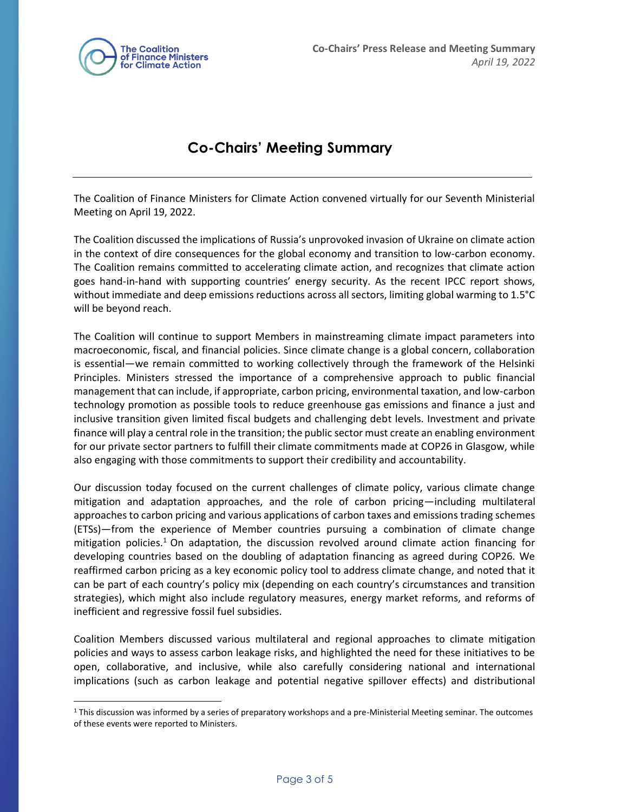

## **Co-Chairs' Meeting Summary**

The Coalition of Finance Ministers for Climate Action convened virtually for our Seventh Ministerial Meeting on April 19, 2022.

The Coalition discussed the implications of Russia's unprovoked invasion of Ukraine on climate action in the context of dire consequences for the global economy and transition to low-carbon economy. The Coalition remains committed to accelerating climate action, and recognizes that climate action goes hand-in-hand with supporting countries' energy security. As the recent IPCC report shows, without immediate and deep emissions reductions across all sectors, limiting global warming to 1.5°C will be beyond reach.

The Coalition will continue to support Members in mainstreaming climate impact parameters into macroeconomic, fiscal, and financial policies. Since climate change is a global concern, collaboration is essential—we remain committed to working collectively through the framework of the Helsinki Principles. Ministers stressed the importance of a comprehensive approach to public financial management that can include, if appropriate, carbon pricing, environmental taxation, and low-carbon technology promotion as possible tools to reduce greenhouse gas emissions and finance a just and inclusive transition given limited fiscal budgets and challenging debt levels. Investment and private finance will play a central role in the transition; the public sector must create an enabling environment for our private sector partners to fulfill their climate commitments made at COP26 in Glasgow, while also engaging with those commitments to support their credibility and accountability.

Our discussion today focused on the current challenges of climate policy, various climate change mitigation and adaptation approaches, and the role of carbon pricing—including multilateral approaches to carbon pricing and various applications of carbon taxes and emissions trading schemes (ETSs)—from the experience of Member countries pursuing a combination of climate change mitigation policies.<sup>1</sup> On adaptation, the discussion revolved around climate action financing for developing countries based on the doubling of adaptation financing as agreed during COP26. We reaffirmed carbon pricing as a key economic policy tool to address climate change, and noted that it can be part of each country's policy mix (depending on each country's circumstances and transition strategies), which might also include regulatory measures, energy market reforms, and reforms of inefficient and regressive fossil fuel subsidies.

Coalition Members discussed various multilateral and regional approaches to climate mitigation policies and ways to assess carbon leakage risks, and highlighted the need for these initiatives to be open, collaborative, and inclusive, while also carefully considering national and international implications (such as carbon leakage and potential negative spillover effects) and distributional

 $1$  This discussion was informed by a series of preparatory workshops and a pre-Ministerial Meeting seminar. The outcomes of these events were reported to Ministers.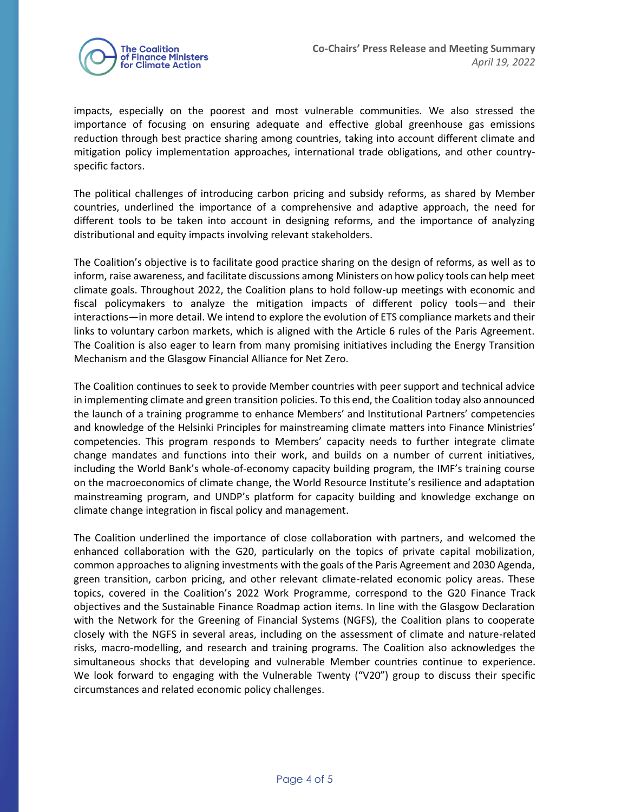

impacts, especially on the poorest and most vulnerable communities. We also stressed the importance of focusing on ensuring adequate and effective global greenhouse gas emissions reduction through best practice sharing among countries, taking into account different climate and mitigation policy implementation approaches, international trade obligations, and other countryspecific factors.

The political challenges of introducing carbon pricing and subsidy reforms, as shared by Member countries, underlined the importance of a comprehensive and adaptive approach, the need for different tools to be taken into account in designing reforms, and the importance of analyzing distributional and equity impacts involving relevant stakeholders.

The Coalition's objective is to facilitate good practice sharing on the design of reforms, as well as to inform, raise awareness, and facilitate discussions among Ministers on how policy tools can help meet climate goals. Throughout 2022, the Coalition plans to hold follow-up meetings with economic and fiscal policymakers to analyze the mitigation impacts of different policy tools—and their interactions—in more detail. We intend to explore the evolution of ETS compliance markets and their links to voluntary carbon markets, which is aligned with the Article 6 rules of the Paris Agreement. The Coalition is also eager to learn from many promising initiatives including the Energy Transition Mechanism and the Glasgow Financial Alliance for Net Zero.

The Coalition continues to seek to provide Member countries with peer support and technical advice in implementing climate and green transition policies. To this end, the Coalition today also announced the launch of a training programme to enhance Members' and Institutional Partners' competencies and knowledge of the Helsinki Principles for mainstreaming climate matters into Finance Ministries' competencies. This program responds to Members' capacity needs to further integrate climate change mandates and functions into their work, and builds on a number of current initiatives, including the World Bank's whole-of-economy capacity building program, the IMF's training course on the macroeconomics of climate change, the World Resource Institute's resilience and adaptation mainstreaming program, and UNDP's platform for capacity building and knowledge exchange on climate change integration in fiscal policy and management.

The Coalition underlined the importance of close collaboration with partners, and welcomed the enhanced collaboration with the G20, particularly on the topics of private capital mobilization, common approaches to aligning investments with the goals of the Paris Agreement and 2030 Agenda, green transition, carbon pricing, and other relevant climate-related economic policy areas. These topics, covered in the Coalition's 2022 Work Programme, correspond to the G20 Finance Track objectives and the Sustainable Finance Roadmap action items. In line with the Glasgow Declaration with the Network for the Greening of Financial Systems (NGFS), the Coalition plans to cooperate closely with the NGFS in several areas, including on the assessment of climate and nature-related risks, macro-modelling, and research and training programs. The Coalition also acknowledges the simultaneous shocks that developing and vulnerable Member countries continue to experience. We look forward to engaging with the Vulnerable Twenty ("V20") group to discuss their specific circumstances and related economic policy challenges.